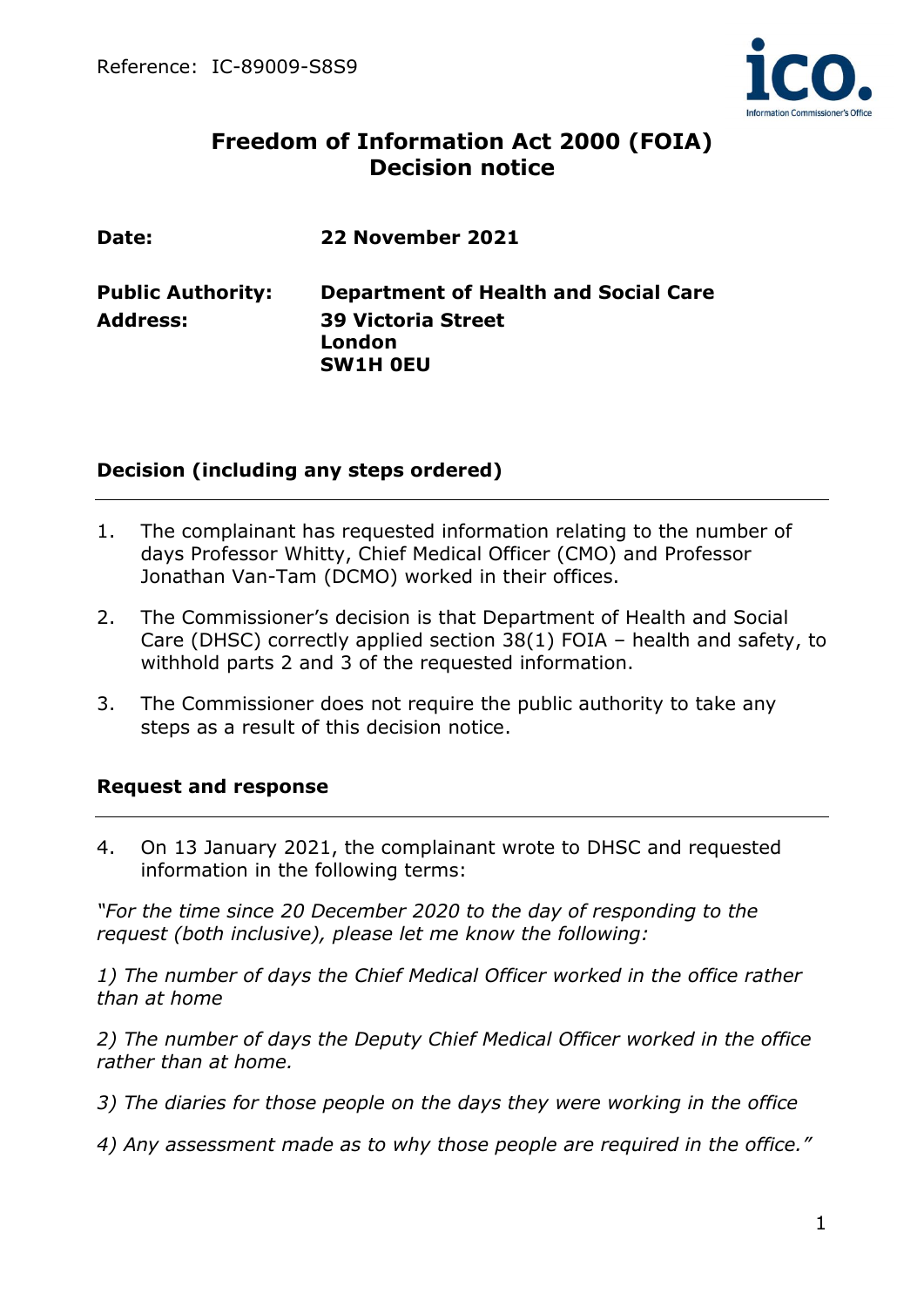

# **Freedom of Information Act 2000 (FOIA) Decision notice**

| Date:                    | 22 November 2021                                       |
|--------------------------|--------------------------------------------------------|
| <b>Public Authority:</b> | <b>Department of Health and Social Care</b>            |
| <b>Address:</b>          | <b>39 Victoria Street</b><br>London<br><b>SW1H OEU</b> |

## **Decision (including any steps ordered)**

- 1. The complainant has requested information relating to the number of days Professor Whitty, Chief Medical Officer (CMO) and Professor Jonathan Van-Tam (DCMO) worked in their offices.
- 2. The Commissioner's decision is that Department of Health and Social Care (DHSC) correctly applied section 38(1) FOIA – health and safety, to withhold parts 2 and 3 of the requested information.
- 3. The Commissioner does not require the public authority to take any steps as a result of this decision notice.

### **Request and response**

4. On 13 January 2021, the complainant wrote to DHSC and requested information in the following terms:

*"For the time since 20 December 2020 to the day of responding to the request (both inclusive), please let me know the following:* 

*1) The number of days the Chief Medical Officer worked in the office rather than at home* 

*2) The number of days the Deputy Chief Medical Officer worked in the office rather than at home.* 

- *3) The diaries for those people on the days they were working in the office*
- *4) Any assessment made as to why those people are required in the office."*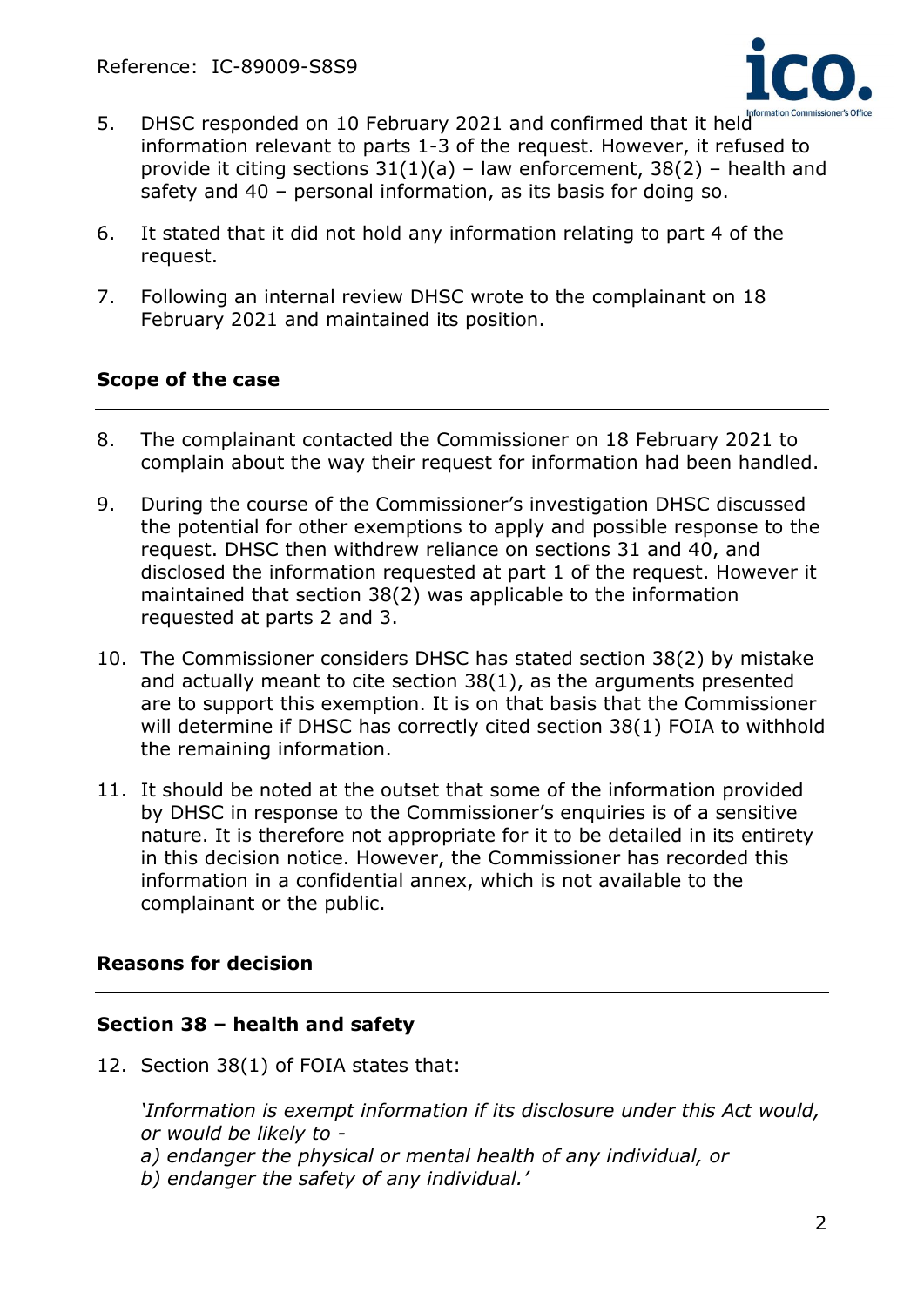

- 5. DHSC responded on 10 February 2021 and confirmed that it held information relevant to parts 1-3 of the request. However, it refused to provide it citing sections  $31(1)(a)$  – law enforcement,  $38(2)$  – health and safety and 40 – personal information, as its basis for doing so.
- 6. It stated that it did not hold any information relating to part 4 of the request.
- 7. Following an internal review DHSC wrote to the complainant on 18 February 2021 and maintained its position.

## **Scope of the case**

- 8. The complainant contacted the Commissioner on 18 February 2021 to complain about the way their request for information had been handled.
- 9. During the course of the Commissioner's investigation DHSC discussed the potential for other exemptions to apply and possible response to the request. DHSC then withdrew reliance on sections 31 and 40, and disclosed the information requested at part 1 of the request. However it maintained that section 38(2) was applicable to the information requested at parts 2 and 3.
- 10. The Commissioner considers DHSC has stated section 38(2) by mistake and actually meant to cite section 38(1), as the arguments presented are to support this exemption. It is on that basis that the Commissioner will determine if DHSC has correctly cited section 38(1) FOIA to withhold the remaining information.
- 11. It should be noted at the outset that some of the information provided by DHSC in response to the Commissioner's enquiries is of a sensitive nature. It is therefore not appropriate for it to be detailed in its entirety in this decision notice. However, the Commissioner has recorded this information in a confidential annex, which is not available to the complainant or the public.

# **Reasons for decision**

### **Section 38 – health and safety**

12. Section 38(1) of FOIA states that:

*'Information is exempt information if its disclosure under this Act would, or would be likely to -*

- *a) endanger the physical or mental health of any individual, or*
- *b) endanger the safety of any individual.'*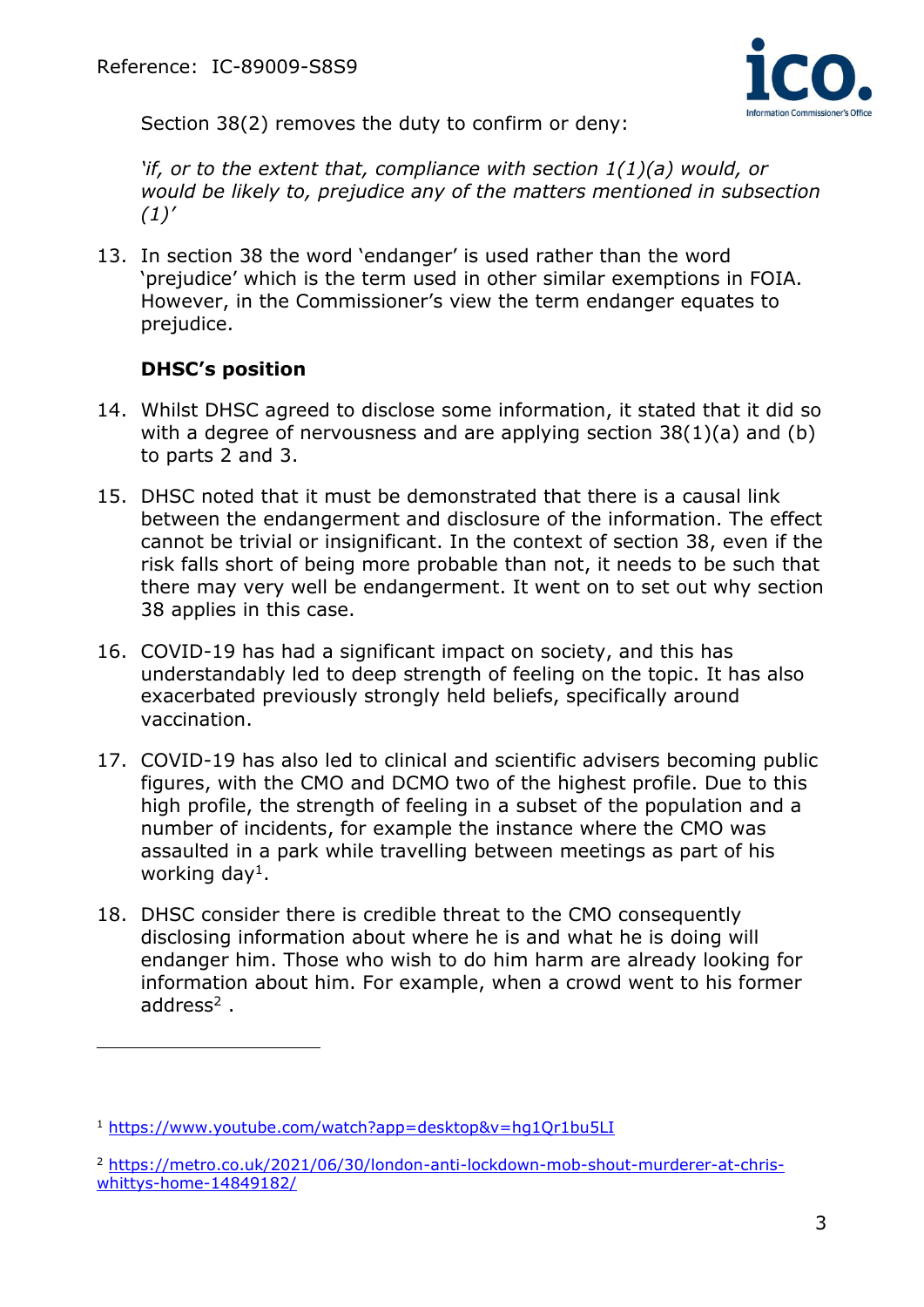

Section 38(2) removes the duty to confirm or deny:

*'if, or to the extent that, compliance with section 1(1)(a) would, or would be likely to, prejudice any of the matters mentioned in subsection (1)'*

13. In section 38 the word 'endanger' is used rather than the word 'prejudice' which is the term used in other similar exemptions in FOIA. However, in the Commissioner's view the term endanger equates to prejudice.

# **DHSC's position**

- 14. Whilst DHSC agreed to disclose some information, it stated that it did so with a degree of nervousness and are applying section  $38(1)(a)$  and (b) to parts 2 and 3.
- 15. DHSC noted that it must be demonstrated that there is a causal link between the endangerment and disclosure of the information. The effect cannot be trivial or insignificant. In the context of section 38, even if the risk falls short of being more probable than not, it needs to be such that there may very well be endangerment. It went on to set out why section 38 applies in this case.
- 16. COVID-19 has had a significant impact on society, and this has understandably led to deep strength of feeling on the topic. It has also exacerbated previously strongly held beliefs, specifically around vaccination.
- 17. COVID-19 has also led to clinical and scientific advisers becoming public figures, with the CMO and DCMO two of the highest profile. Due to this high profile, the strength of feeling in a subset of the population and a number of incidents, for example the instance where the CMO was assaulted in a park while travelling between meetings as part of his working day<sup>1</sup>.
- 18. DHSC consider there is credible threat to the CMO consequently disclosing information about where he is and what he is doing will endanger him. Those who wish to do him harm are already looking for information about him. For example, when a crowd went to his former address<sup>2</sup>.

<sup>1</sup> <https://www.youtube.com/watch?app=desktop&v=hg1Qr1bu5LI>

<sup>2</sup> [https://metro.co.uk/2021/06/30/london-anti-lockdown-mob-shout-murderer-at-chris](https://metro.co.uk/2021/06/30/london-anti-lockdown-mob-shout-murderer-at-chris-whittys-home-14849182/)[whittys-home-14849182/](https://metro.co.uk/2021/06/30/london-anti-lockdown-mob-shout-murderer-at-chris-whittys-home-14849182/)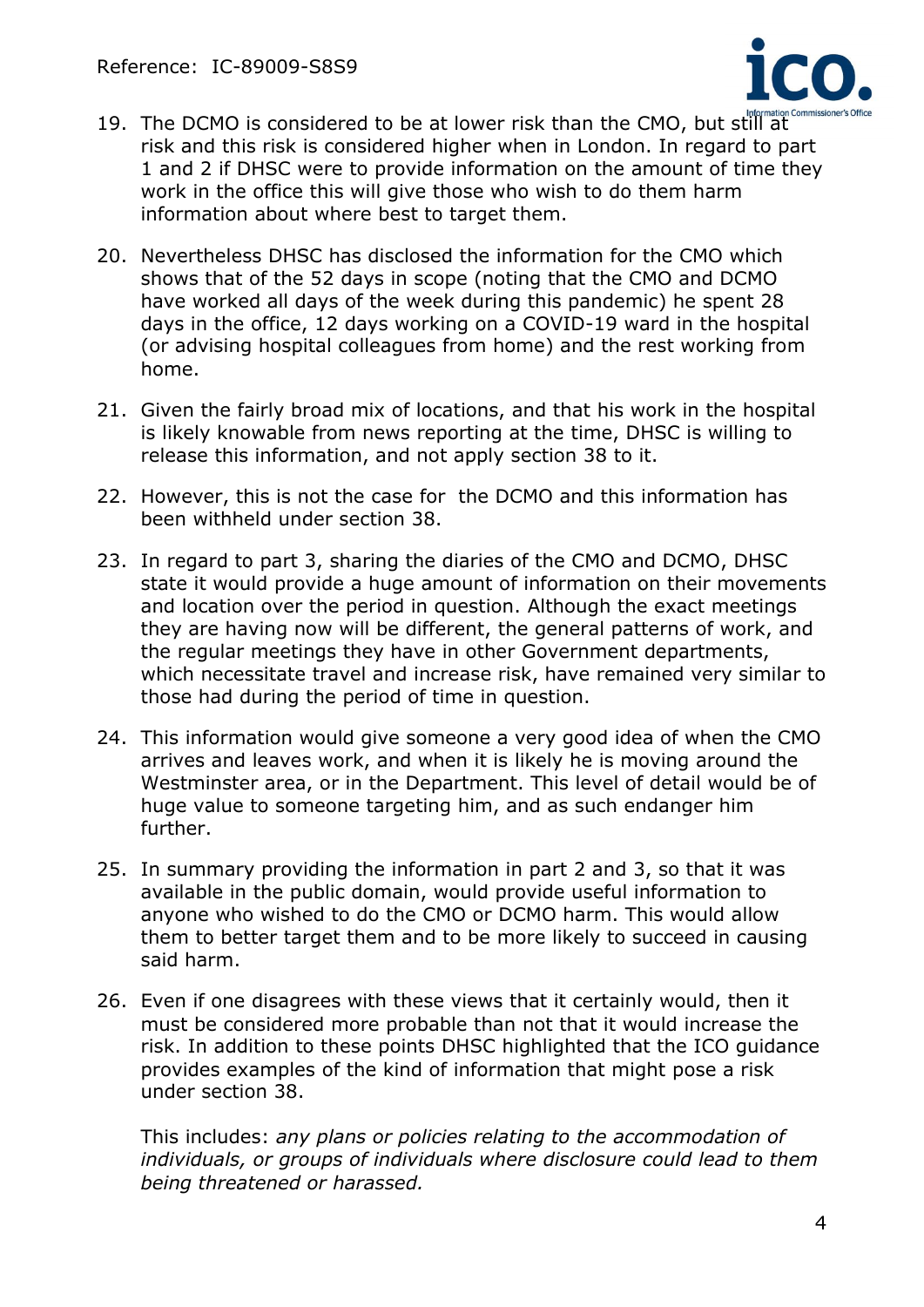

- 19. The DCMO is considered to be at lower risk than the CMO, but still at risk and this risk is considered higher when in London. In regard to part 1 and 2 if DHSC were to provide information on the amount of time they work in the office this will give those who wish to do them harm information about where best to target them.
- 20. Nevertheless DHSC has disclosed the information for the CMO which shows that of the 52 days in scope (noting that the CMO and DCMO have worked all days of the week during this pandemic) he spent 28 days in the office, 12 days working on a COVID-19 ward in the hospital (or advising hospital colleagues from home) and the rest working from home.
- 21. Given the fairly broad mix of locations, and that his work in the hospital is likely knowable from news reporting at the time, DHSC is willing to release this information, and not apply section 38 to it.
- 22. However, this is not the case for the DCMO and this information has been withheld under section 38.
- 23. In regard to part 3, sharing the diaries of the CMO and DCMO, DHSC state it would provide a huge amount of information on their movements and location over the period in question. Although the exact meetings they are having now will be different, the general patterns of work, and the regular meetings they have in other Government departments, which necessitate travel and increase risk, have remained very similar to those had during the period of time in question.
- 24. This information would give someone a very good idea of when the CMO arrives and leaves work, and when it is likely he is moving around the Westminster area, or in the Department. This level of detail would be of huge value to someone targeting him, and as such endanger him further.
- 25. In summary providing the information in part 2 and 3, so that it was available in the public domain, would provide useful information to anyone who wished to do the CMO or DCMO harm. This would allow them to better target them and to be more likely to succeed in causing said harm.
- 26. Even if one disagrees with these views that it certainly would, then it must be considered more probable than not that it would increase the risk. In addition to these points DHSC highlighted that the ICO guidance provides examples of the kind of information that might pose a risk under section 38.

This includes: *any plans or policies relating to the accommodation of individuals, or groups of individuals where disclosure could lead to them being threatened or harassed.*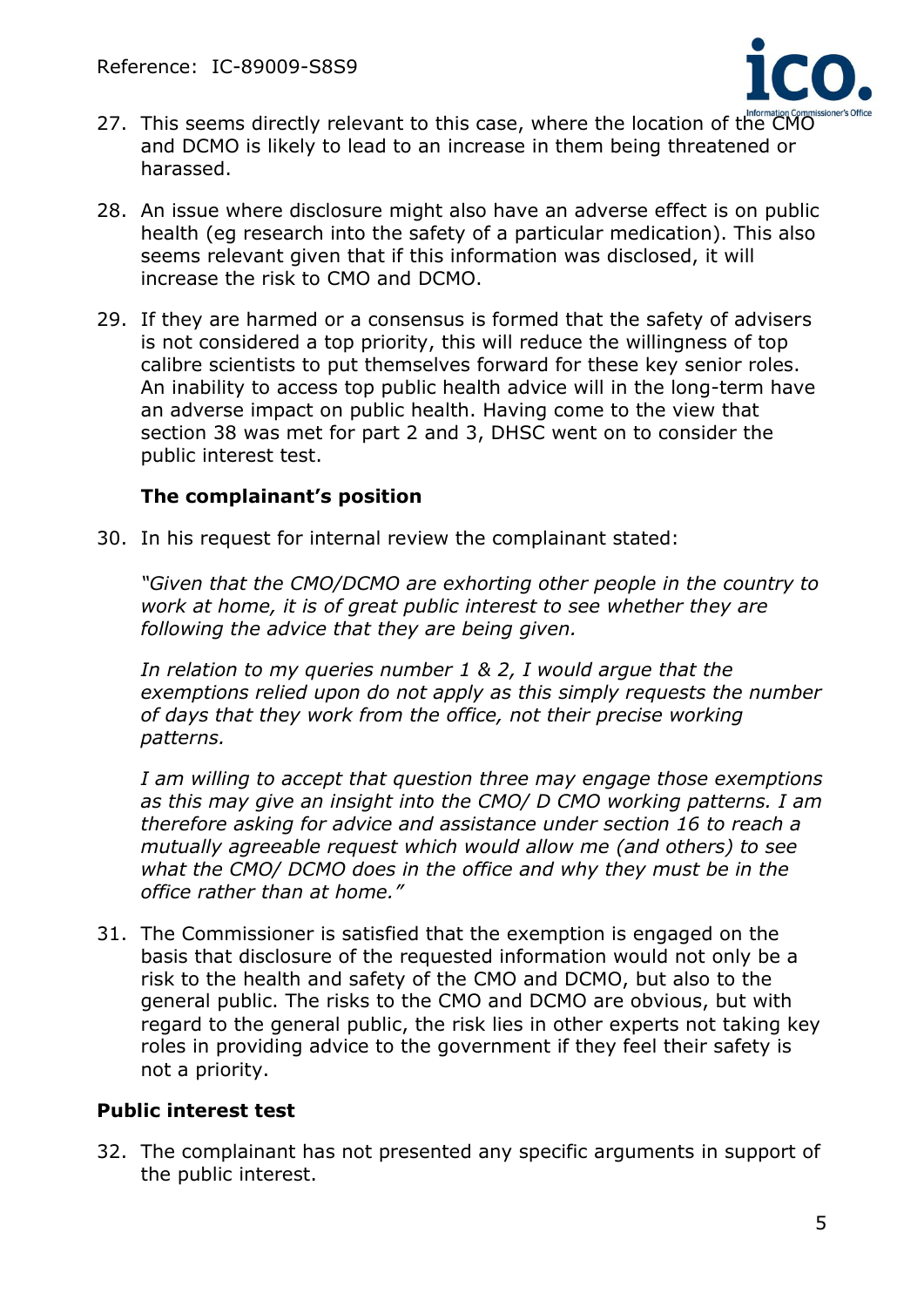

- 27. This seems directly relevant to this case, where the location of the CMO and DCMO is likely to lead to an increase in them being threatened or harassed.
- 28. An issue where disclosure might also have an adverse effect is on public health (eg research into the safety of a particular medication). This also seems relevant given that if this information was disclosed, it will increase the risk to CMO and DCMO.
- 29. If they are harmed or a consensus is formed that the safety of advisers is not considered a top priority, this will reduce the willingness of top calibre scientists to put themselves forward for these key senior roles. An inability to access top public health advice will in the long-term have an adverse impact on public health. Having come to the view that section 38 was met for part 2 and 3, DHSC went on to consider the public interest test.

### **The complainant's position**

30. In his request for internal review the complainant stated:

*"Given that the CMO/DCMO are exhorting other people in the country to work at home, it is of great public interest to see whether they are following the advice that they are being given.*

*In relation to my queries number 1 & 2, I would argue that the exemptions relied upon do not apply as this simply requests the number of days that they work from the office, not their precise working patterns.*

*I am willing to accept that question three may engage those exemptions as this may give an insight into the CMO/ D CMO working patterns. I am therefore asking for advice and assistance under section 16 to reach a mutually agreeable request which would allow me (and others) to see what the CMO/ DCMO does in the office and why they must be in the office rather than at home."*

31. The Commissioner is satisfied that the exemption is engaged on the basis that disclosure of the requested information would not only be a risk to the health and safety of the CMO and DCMO, but also to the general public. The risks to the CMO and DCMO are obvious, but with regard to the general public, the risk lies in other experts not taking key roles in providing advice to the government if they feel their safety is not a priority.

# **Public interest test**

32. The complainant has not presented any specific arguments in support of the public interest.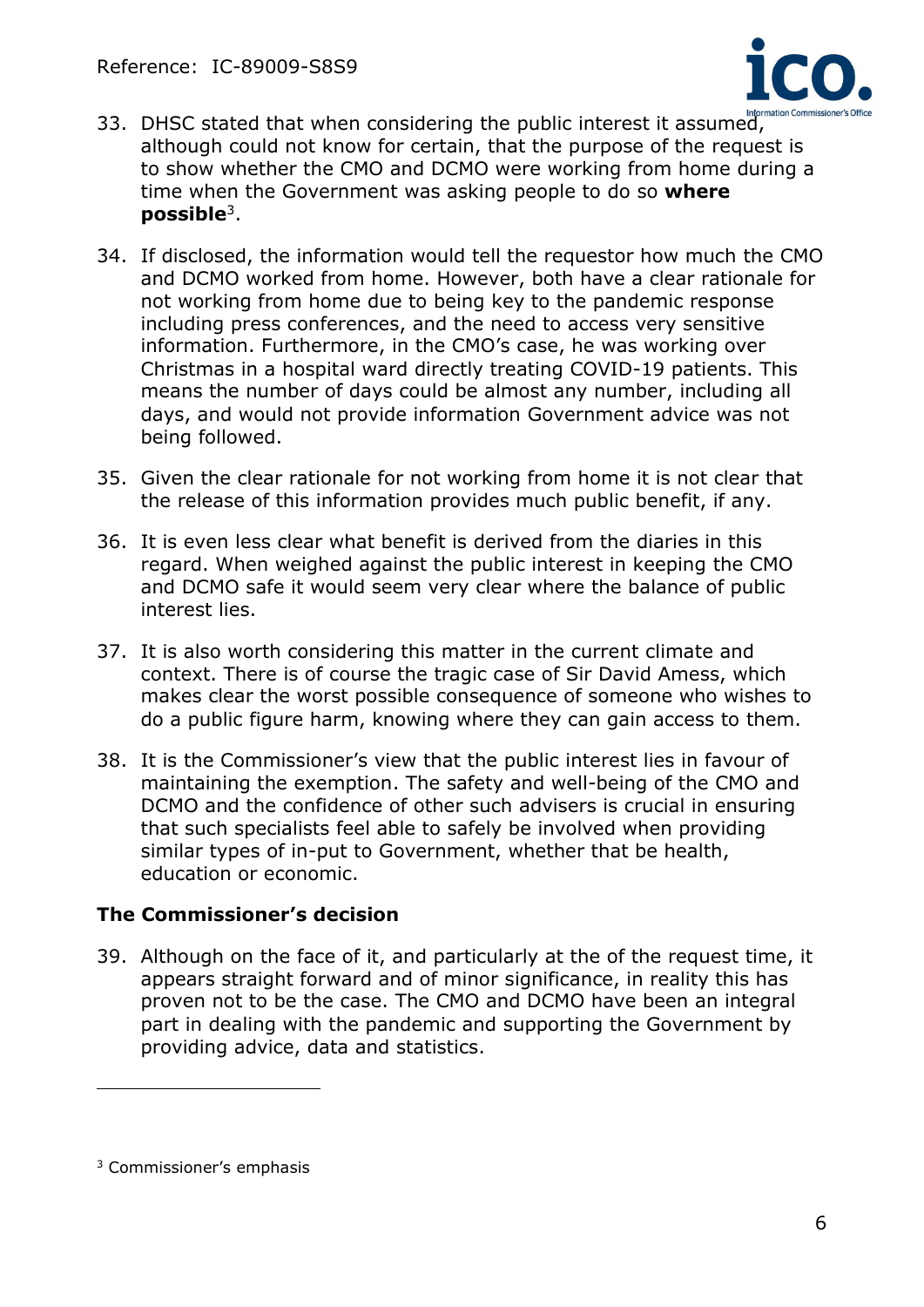

- 33. DHSC stated that when considering the public interest it assumed, although could not know for certain, that the purpose of the request is to show whether the CMO and DCMO were working from home during a time when the Government was asking people to do so **where possible**<sup>3</sup> .
- 34. If disclosed, the information would tell the requestor how much the CMO and DCMO worked from home. However, both have a clear rationale for not working from home due to being key to the pandemic response including press conferences, and the need to access very sensitive information. Furthermore, in the CMO's case, he was working over Christmas in a hospital ward directly treating COVID-19 patients. This means the number of days could be almost any number, including all days, and would not provide information Government advice was not being followed.
- 35. Given the clear rationale for not working from home it is not clear that the release of this information provides much public benefit, if any.
- 36. It is even less clear what benefit is derived from the diaries in this regard. When weighed against the public interest in keeping the CMO and DCMO safe it would seem very clear where the balance of public interest lies.
- 37. It is also worth considering this matter in the current climate and context. There is of course the tragic case of Sir David Amess, which makes clear the worst possible consequence of someone who wishes to do a public figure harm, knowing where they can gain access to them.
- 38. It is the Commissioner's view that the public interest lies in favour of maintaining the exemption. The safety and well-being of the CMO and DCMO and the confidence of other such advisers is crucial in ensuring that such specialists feel able to safely be involved when providing similar types of in-put to Government, whether that be health, education or economic.

# **The Commissioner's decision**

39. Although on the face of it, and particularly at the of the request time, it appears straight forward and of minor significance, in reality this has proven not to be the case. The CMO and DCMO have been an integral part in dealing with the pandemic and supporting the Government by providing advice, data and statistics.

<sup>3</sup> Commissioner's emphasis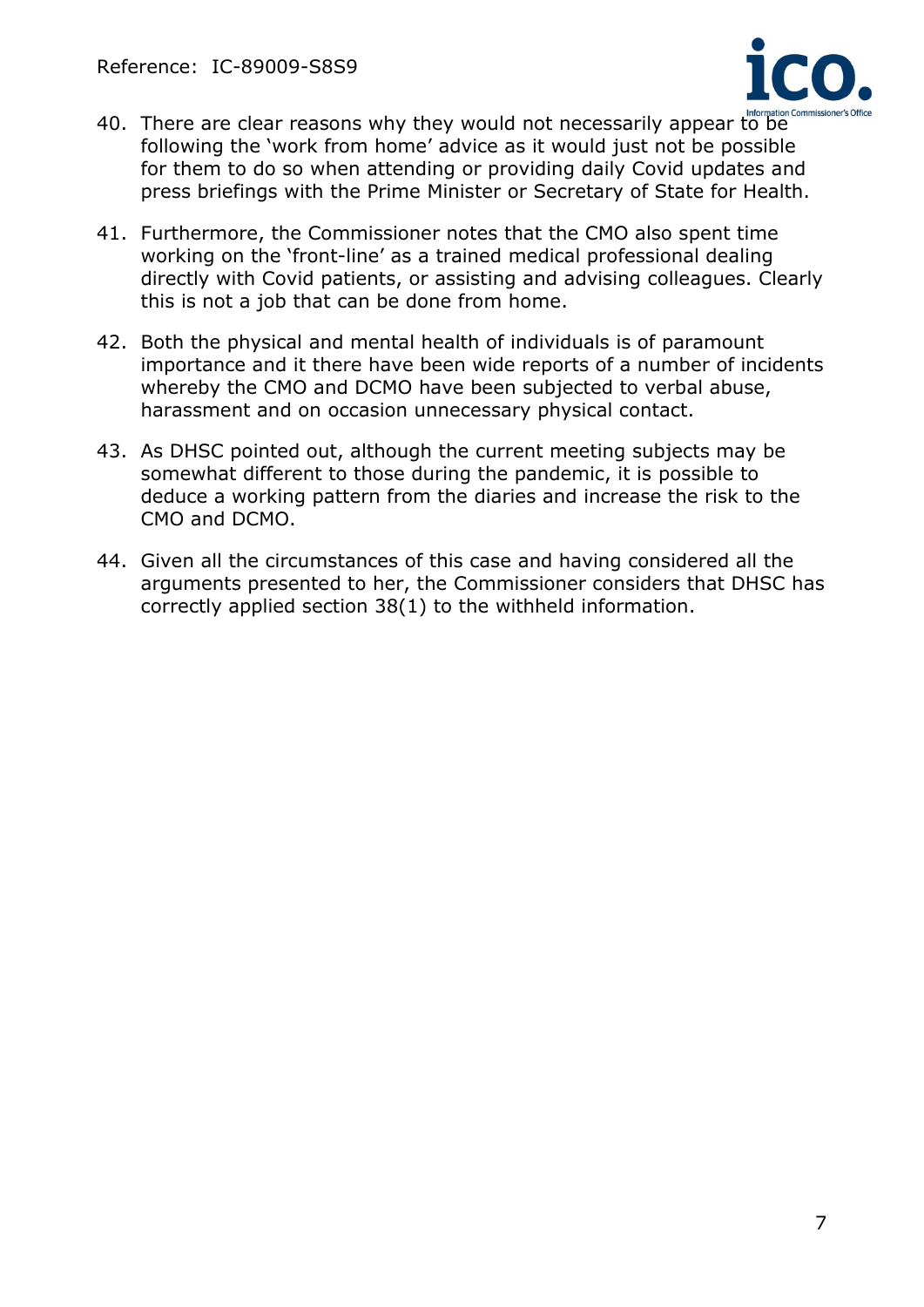

- 40. There are clear reasons why they would not necessarily appear to be following the 'work from home' advice as it would just not be possible for them to do so when attending or providing daily Covid updates and press briefings with the Prime Minister or Secretary of State for Health.
- 41. Furthermore, the Commissioner notes that the CMO also spent time working on the 'front-line' as a trained medical professional dealing directly with Covid patients, or assisting and advising colleagues. Clearly this is not a job that can be done from home.
- 42. Both the physical and mental health of individuals is of paramount importance and it there have been wide reports of a number of incidents whereby the CMO and DCMO have been subjected to verbal abuse, harassment and on occasion unnecessary physical contact.
- 43. As DHSC pointed out, although the current meeting subjects may be somewhat different to those during the pandemic, it is possible to deduce a working pattern from the diaries and increase the risk to the CMO and DCMO.
- 44. Given all the circumstances of this case and having considered all the arguments presented to her, the Commissioner considers that DHSC has correctly applied section 38(1) to the withheld information.